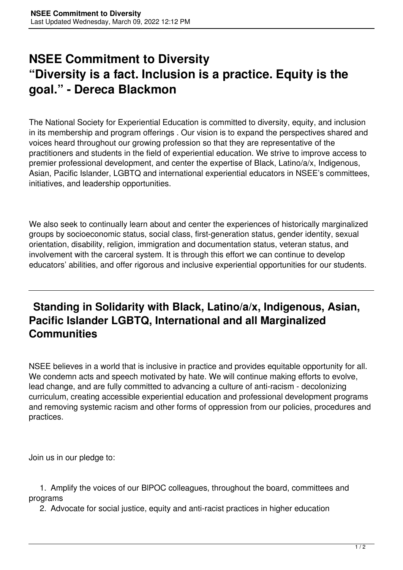## **NSEE Commitment to Diversity "Diversity is a fact. Inclusion is a practice. Equity is the goal." - Dereca Blackmon**

The National Society for Experiential Education is committed to diversity, equity, and inclusion in its membership and program offerings . Our vision is to expand the perspectives shared and voices heard throughout our growing profession so that they are representative of the practitioners and students in the field of experiential education. We strive to improve access to premier professional development, and center the expertise of Black, Latino/a/x, Indigenous, Asian, Pacific Islander, LGBTQ and international experiential educators in NSEE's committees, initiatives, and leadership opportunities.

We also seek to continually learn about and center the experiences of historically marginalized groups by socioeconomic status, social class, first-generation status, gender identity, sexual orientation, disability, religion, immigration and documentation status, veteran status, and involvement with the carceral system. It is through this effort we can continue to develop educators' abilities, and offer rigorous and inclusive experiential opportunities for our students.

## **Standing in Solidarity with Black, Latino/a/x, Indigenous, Asian, Pacific Islander LGBTQ, International and all Marginalized Communities**

NSEE believes in a world that is inclusive in practice and provides equitable opportunity for all. We condemn acts and speech motivated by hate. We will continue making efforts to evolve, lead change, and are fully committed to advancing a culture of anti-racism - decolonizing curriculum, creating accessible experiential education and professional development programs and removing systemic racism and other forms of oppression from our policies, procedures and practices.

Join us in our pledge to:

 1. Amplify the voices of our BlPOC colleagues, throughout the board, committees and programs

2. Advocate for social justice, equity and anti-racist practices in higher education